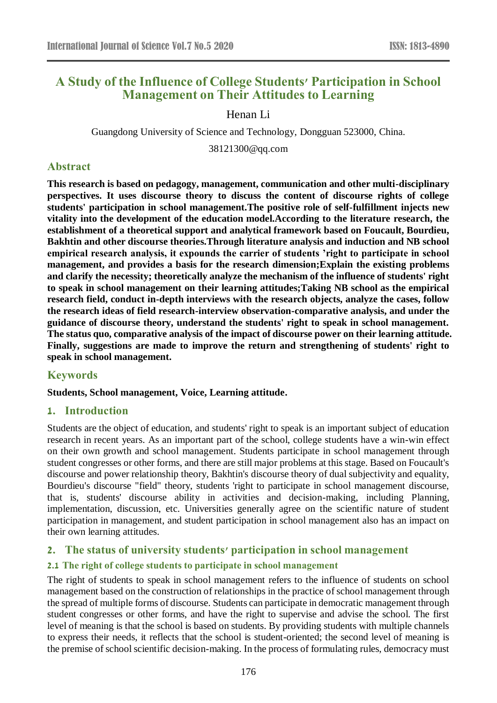# **A Study of the Influence of College Students' Participation in School Management on Their Attitudes to Learning**

Henan Li

Guangdong University of Science and Technology, Dongguan 523000, China.

38121300@qq.com

# **Abstract**

**This research is based on pedagogy, management, communication and other multi-disciplinary perspectives. It uses discourse theory to discuss the content of discourse rights of college students' participation in school management.The positive role of self-fulfillment injects new vitality into the development of the education model.According to the literature research, the establishment of a theoretical support and analytical framework based on Foucault, Bourdieu, Bakhtin and other discourse theories.Through literature analysis and induction and NB school empirical research analysis, it expounds the carrier of students 'right to participate in school management, and provides a basis for the research dimension;Explain the existing problems and clarify the necessity; theoretically analyze the mechanism of the influence of students' right to speak in school management on their learning attitudes;Taking NB school as the empirical research field, conduct in-depth interviews with the research objects, analyze the cases, follow the research ideas of field research-interview observation-comparative analysis, and under the guidance of discourse theory, understand the students' right to speak in school management. The status quo, comparative analysis of the impact of discourse power on their learning attitude. Finally, suggestions are made to improve the return and strengthening of students' right to speak in school management.**

# **Keywords**

**Students, School management, Voice, Learning attitude.**

# **1. Introduction**

Students are the object of education, and students' right to speak is an important subject of education research in recent years. As an important part of the school, college students have a win-win effect on their own growth and school management. Students participate in school management through student congresses or other forms, and there are still major problems at this stage. Based on Foucault's discourse and power relationship theory, Bakhtin's discourse theory of dual subjectivity and equality, Bourdieu's discourse "field" theory, students 'right to participate in school management discourse, that is, students' discourse ability in activities and decision-making, including Planning, implementation, discussion, etc. Universities generally agree on the scientific nature of student participation in management, and student participation in school management also has an impact on their own learning attitudes.

# **2. The status of university students' participation in school management**

## **2.1 The right of college students to participate in school management**

The right of students to speak in school management refers to the influence of students on school management based on the construction of relationships in the practice of school management through the spread of multiple forms of discourse. Students can participate in democratic management through student congresses or other forms, and have the right to supervise and advise the school. The first level of meaning is that the school is based on students. By providing students with multiple channels to express their needs, it reflects that the school is student-oriented; the second level of meaning is the premise of school scientific decision-making. In the process of formulating rules, democracy must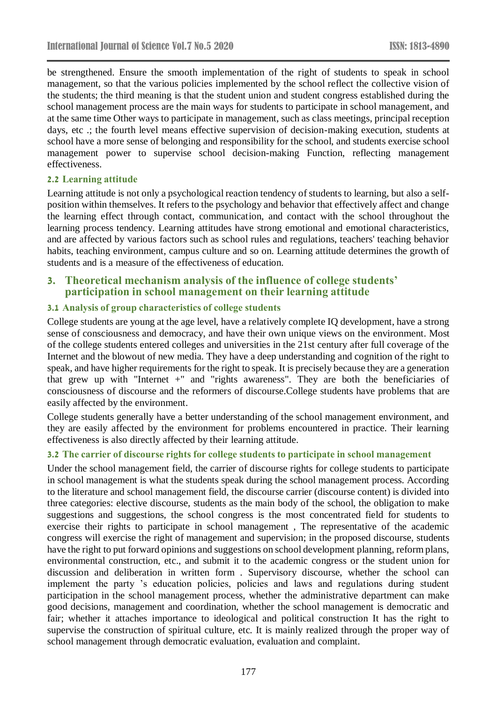be strengthened. Ensure the smooth implementation of the right of students to speak in school management, so that the various policies implemented by the school reflect the collective vision of the students; the third meaning is that the student union and student congress established during the school management process are the main ways for students to participate in school management, and at the same time Other ways to participate in management, such as class meetings, principal reception days, etc .; the fourth level means effective supervision of decision-making execution, students at school have a more sense of belonging and responsibility for the school, and students exercise school management power to supervise school decision-making Function, reflecting management effectiveness.

## **2.2 Learning attitude**

Learning attitude is not only a psychological reaction tendency of students to learning, but also a selfposition within themselves. It refers to the psychology and behavior that effectively affect and change the learning effect through contact, communication, and contact with the school throughout the learning process tendency. Learning attitudes have strong emotional and emotional characteristics, and are affected by various factors such as school rules and regulations, teachers' teaching behavior habits, teaching environment, campus culture and so on. Learning attitude determines the growth of students and is a measure of the effectiveness of education.

## **3. Theoretical mechanism analysis of the influence of college students' participation in school management on their learning attitude**

## **3.1 Analysis of group characteristics of college students**

College students are young at the age level, have a relatively complete IQ development, have a strong sense of consciousness and democracy, and have their own unique views on the environment. Most of the college students entered colleges and universities in the 21st century after full coverage of the Internet and the blowout of new media. They have a deep understanding and cognition of the right to speak, and have higher requirements for the right to speak. It is precisely because they are a generation that grew up with "Internet +" and "rights awareness". They are both the beneficiaries of consciousness of discourse and the reformers of discourse.College students have problems that are easily affected by the environment.

College students generally have a better understanding of the school management environment, and they are easily affected by the environment for problems encountered in practice. Their learning effectiveness is also directly affected by their learning attitude.

## **3.2 The carrier of discourse rights for college students to participate in school management**

Under the school management field, the carrier of discourse rights for college students to participate in school management is what the students speak during the school management process. According to the literature and school management field, the discourse carrier (discourse content) is divided into three categories: elective discourse, students as the main body of the school, the obligation to make suggestions and suggestions, the school congress is the most concentrated field for students to exercise their rights to participate in school management , The representative of the academic congress will exercise the right of management and supervision; in the proposed discourse, students have the right to put forward opinions and suggestions on school development planning, reform plans, environmental construction, etc., and submit it to the academic congress or the student union for discussion and deliberation in written form . Supervisory discourse, whether the school can implement the party 's education policies, policies and laws and regulations during student participation in the school management process, whether the administrative department can make good decisions, management and coordination, whether the school management is democratic and fair; whether it attaches importance to ideological and political construction It has the right to supervise the construction of spiritual culture, etc. It is mainly realized through the proper way of school management through democratic evaluation, evaluation and complaint.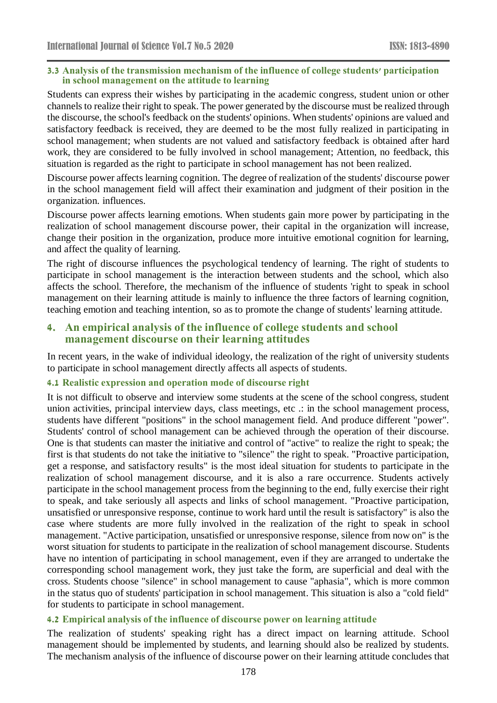### **3.3 Analysis of the transmission mechanism of the influence of college students' participation in school management on the attitude to learning**

Students can express their wishes by participating in the academic congress, student union or other channels to realize their right to speak. The power generated by the discourse must be realized through the discourse, the school's feedback on the students' opinions. When students' opinions are valued and satisfactory feedback is received, they are deemed to be the most fully realized in participating in school management; when students are not valued and satisfactory feedback is obtained after hard work, they are considered to be fully involved in school management; Attention, no feedback, this situation is regarded as the right to participate in school management has not been realized.

Discourse power affects learning cognition. The degree of realization of the students' discourse power in the school management field will affect their examination and judgment of their position in the organization. influences.

Discourse power affects learning emotions. When students gain more power by participating in the realization of school management discourse power, their capital in the organization will increase, change their position in the organization, produce more intuitive emotional cognition for learning, and affect the quality of learning.

The right of discourse influences the psychological tendency of learning. The right of students to participate in school management is the interaction between students and the school, which also affects the school. Therefore, the mechanism of the influence of students 'right to speak in school management on their learning attitude is mainly to influence the three factors of learning cognition, teaching emotion and teaching intention, so as to promote the change of students' learning attitude.

# **4. An empirical analysis of the influence of college students and school management discourse on their learning attitudes**

In recent years, in the wake of individual ideology, the realization of the right of university students to participate in school management directly affects all aspects of students.

## **4.1 Realistic expression and operation mode of discourse right**

It is not difficult to observe and interview some students at the scene of the school congress, student union activities, principal interview days, class meetings, etc .: in the school management process, students have different "positions" in the school management field. And produce different "power". Students' control of school management can be achieved through the operation of their discourse. One is that students can master the initiative and control of "active" to realize the right to speak; the first is that students do not take the initiative to "silence" the right to speak. "Proactive participation, get a response, and satisfactory results" is the most ideal situation for students to participate in the realization of school management discourse, and it is also a rare occurrence. Students actively participate in the school management process from the beginning to the end, fully exercise their right to speak, and take seriously all aspects and links of school management. "Proactive participation, unsatisfied or unresponsive response, continue to work hard until the result is satisfactory" is also the case where students are more fully involved in the realization of the right to speak in school management. "Active participation, unsatisfied or unresponsive response, silence from now on" is the worst situation for students to participate in the realization of school management discourse. Students have no intention of participating in school management, even if they are arranged to undertake the corresponding school management work, they just take the form, are superficial and deal with the cross. Students choose "silence" in school management to cause "aphasia", which is more common in the status quo of students' participation in school management. This situation is also a "cold field" for students to participate in school management.

## **4.2 Empirical analysis of the influence of discourse power on learning attitude**

The realization of students' speaking right has a direct impact on learning attitude. School management should be implemented by students, and learning should also be realized by students. The mechanism analysis of the influence of discourse power on their learning attitude concludes that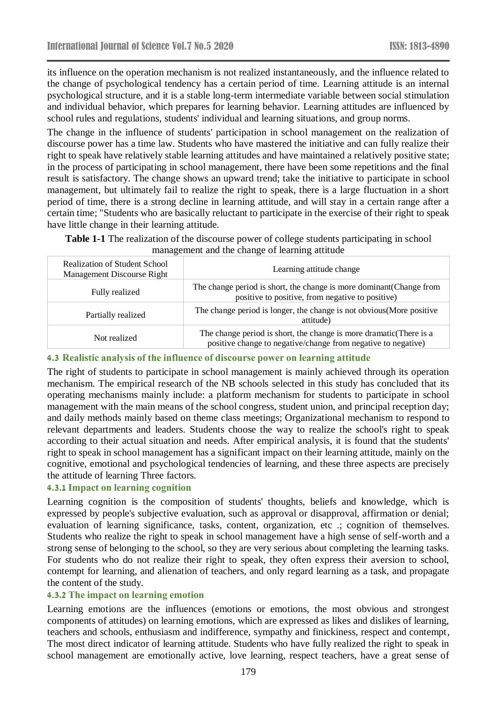its influence on the operation mechanism is not realized instantaneously, and the influence related to the change of psychological tendency has a certain period of time. Learning attitude is an internal psychological structure, and it is a stable long-term intermediate variable between social stimulation and individual behavior, which prepares for learning behavior. Learning attitudes are influenced by school rules and regulations, students' individual and learning situations, and group norms.

The change in the influence of students' participation in school management on the realization of discourse power has a time law. Students who have mastered the initiative and can fully realize their right to speak have relatively stable learning attitudes and have maintained a relatively positive state; in the process of participating in school management, there have been some repetitions and the final result is satisfactory. The change shows an upward trend; take the initiative to participate in school management, but ultimately fail to realize the right to speak, there is a large fluctuation in a short period of time, there is a strong decline in learning attitude, and will stay in a certain range after a certain time; "Students who are basically reluctant to participate in the exercise of their right to speak have little change in their learning attitude.

| <b>Realization of Student School</b><br>Management Discourse Right | Learning attitude change                                                                                                             |
|--------------------------------------------------------------------|--------------------------------------------------------------------------------------------------------------------------------------|
| Fully realized                                                     | The change period is short, the change is more dominant (Change from<br>positive to positive, from negative to positive)             |
| Partially realized                                                 | The change period is longer, the change is not obvious (More positive<br>attitude)                                                   |
| Not realized                                                       | The change period is short, the change is more dramatic (There is a<br>positive change to negative/change from negative to negative) |

**Table 1-1** The realization of the discourse power of college students participating in school management and the change of learning attitude

# **4.3 Realistic analysis of the influence of discourse power on learning attitude**

The right of students to participate in school management is mainly achieved through its operation mechanism. The empirical research of the NB schools selected in this study has concluded that its operating mechanisms mainly include: a platform mechanism for students to participate in school management with the main means of the school congress, student union, and principal reception day; and daily methods mainly based on theme class meetings; Organizational mechanism to respond to relevant departments and leaders. Students choose the way to realize the school's right to speak according to their actual situation and needs. After empirical analysis, it is found that the students' right to speak in school management has a significant impact on their learning attitude, mainly on the cognitive, emotional and psychological tendencies of learning, and these three aspects are precisely the attitude of learning Three factors.

# **4.3.1 Impact on learning cognition**

Learning cognition is the composition of students' thoughts, beliefs and knowledge, which is expressed by people's subjective evaluation, such as approval or disapproval, affirmation or denial; evaluation of learning significance, tasks, content, organization, etc .; cognition of themselves. Students who realize the right to speak in school management have a high sense of self-worth and a strong sense of belonging to the school, so they are very serious about completing the learning tasks. For students who do not realize their right to speak, they often express their aversion to school, contempt for learning, and alienation of teachers, and only regard learning as a task, and propagate the content of the study.

# **4.3.2 The impact on learning emotion**

Learning emotions are the influences (emotions or emotions, the most obvious and strongest components of attitudes) on learning emotions, which are expressed as likes and dislikes of learning, teachers and schools, enthusiasm and indifference, sympathy and finickiness, respect and contempt, The most direct indicator of learning attitude. Students who have fully realized the right to speak in school management are emotionally active, love learning, respect teachers, have a great sense of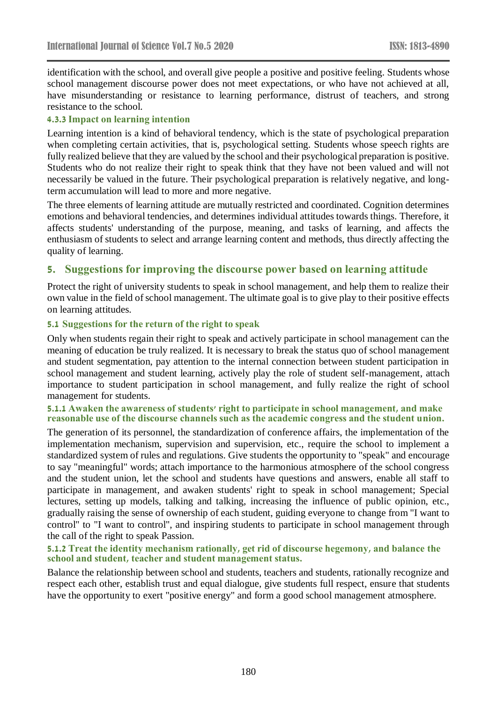identification with the school, and overall give people a positive and positive feeling. Students whose school management discourse power does not meet expectations, or who have not achieved at all, have misunderstanding or resistance to learning performance, distrust of teachers, and strong resistance to the school.

## **4.3.3 Impact on learning intention**

Learning intention is a kind of behavioral tendency, which is the state of psychological preparation when completing certain activities, that is, psychological setting. Students whose speech rights are fully realized believe that they are valued by the school and their psychological preparation is positive. Students who do not realize their right to speak think that they have not been valued and will not necessarily be valued in the future. Their psychological preparation is relatively negative, and longterm accumulation will lead to more and more negative.

The three elements of learning attitude are mutually restricted and coordinated. Cognition determines emotions and behavioral tendencies, and determines individual attitudes towards things. Therefore, it affects students' understanding of the purpose, meaning, and tasks of learning, and affects the enthusiasm of students to select and arrange learning content and methods, thus directly affecting the quality of learning.

# **5. Suggestions for improving the discourse power based on learning attitude**

Protect the right of university students to speak in school management, and help them to realize their own value in the field of school management. The ultimate goal is to give play to their positive effects on learning attitudes.

## **5.1 Suggestions for the return of the right to speak**

Only when students regain their right to speak and actively participate in school management can the meaning of education be truly realized. It is necessary to break the status quo of school management and student segmentation, pay attention to the internal connection between student participation in school management and student learning, actively play the role of student self-management, attach importance to student participation in school management, and fully realize the right of school management for students.

#### **5.1.1 Awaken the awareness of students' right to participate in school management, and make reasonable use of the discourse channels such as the academic congress and the student union.**

The generation of its personnel, the standardization of conference affairs, the implementation of the implementation mechanism, supervision and supervision, etc., require the school to implement a standardized system of rules and regulations. Give students the opportunity to "speak" and encourage to say "meaningful" words; attach importance to the harmonious atmosphere of the school congress and the student union, let the school and students have questions and answers, enable all staff to participate in management, and awaken students' right to speak in school management; Special lectures, setting up models, talking and talking, increasing the influence of public opinion, etc., gradually raising the sense of ownership of each student, guiding everyone to change from "I want to control" to "I want to control", and inspiring students to participate in school management through the call of the right to speak Passion.

#### **5.1.2 Treat the identity mechanism rationally, get rid of discourse hegemony, and balance the school and student, teacher and student management status.**

Balance the relationship between school and students, teachers and students, rationally recognize and respect each other, establish trust and equal dialogue, give students full respect, ensure that students have the opportunity to exert "positive energy" and form a good school management atmosphere.